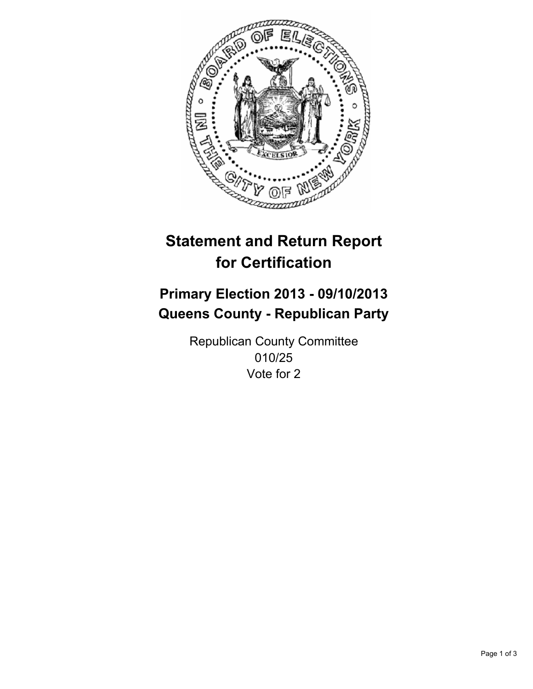

# **Statement and Return Report for Certification**

# **Primary Election 2013 - 09/10/2013 Queens County - Republican Party**

Republican County Committee 010/25 Vote for 2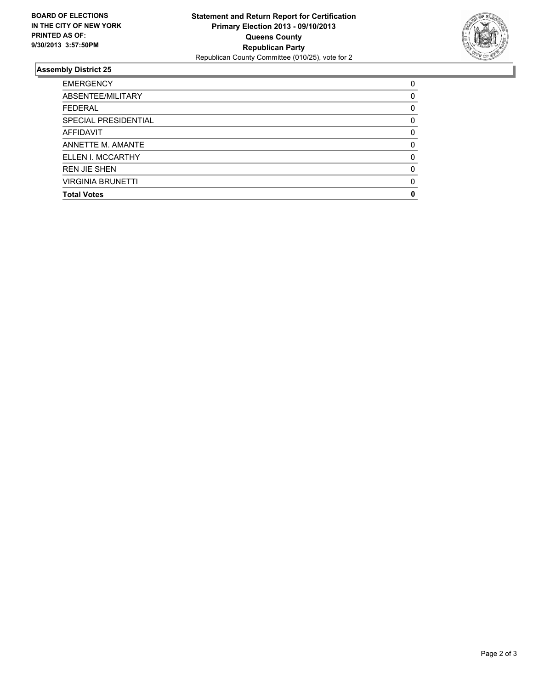

## **Assembly District 25**

| ABSENTEE/MILITARY<br><b>FEDERAL</b><br>SPECIAL PRESIDENTIAL<br><b>AFFIDAVIT</b><br>ANNETTE M. AMANTE<br>ELLEN I. MCCARTHY<br><b>REN JIE SHEN</b><br><b>VIRGINIA BRUNETTI</b><br><b>Total Votes</b> | <b>EMERGENCY</b> | 0        |
|----------------------------------------------------------------------------------------------------------------------------------------------------------------------------------------------------|------------------|----------|
|                                                                                                                                                                                                    |                  | 0        |
|                                                                                                                                                                                                    |                  | 0        |
|                                                                                                                                                                                                    |                  | 0        |
|                                                                                                                                                                                                    |                  | $\Omega$ |
|                                                                                                                                                                                                    |                  | 0        |
|                                                                                                                                                                                                    |                  | $\Omega$ |
|                                                                                                                                                                                                    |                  | $\Omega$ |
|                                                                                                                                                                                                    |                  | $\Omega$ |
|                                                                                                                                                                                                    |                  | 0        |